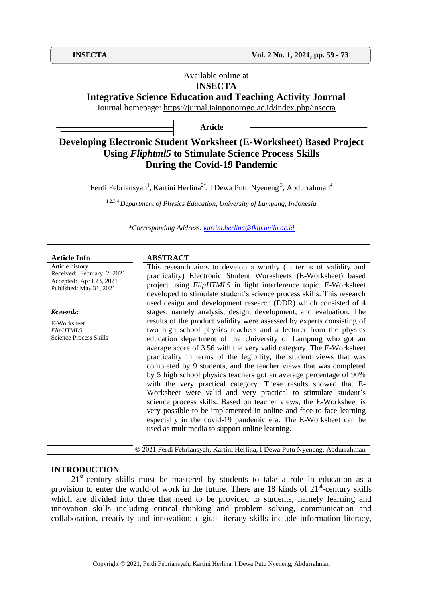## Available online at **INSECTA**

**Integrative Science Education and Teaching Activity Journal**

Journal homepage:<https://jurnal.iainponorogo.ac.id/index.php/insecta>

**Article**

# **Developing Electronic Student Worksheet (E-Worksheet) Based Project Using** *Fliphtml5* **to Stimulate Science Process Skills During the Covid-19 Pandemic**

Ferdi Febriansyah<sup>1</sup>, Kartini Herlina<sup>2\*</sup>, I Dewa Putu Nyeneng<sup>3</sup>, Abdurrahman<sup>4</sup>

1,2,3,4 *Department of Physics Education, University of Lampung, Indonesia*

*\*Corresponding Address: [kartini.herlina@fkip.unila.ac.id](mailto:kartini.herlina@fkip.unila.ac.id)*

Article history: Received: February 2, 2021 Accepted: April 23, 2021 Published: May 31, 2021

#### *Keywords:*

E-Worksheet *FlipHTML5* Science Process Skills

#### **Article Info ABSTRACT**

This research aims to develop a worthy (in terms of validity and practicality) Electronic Student Worksheets (E-Worksheet) based project using *FlipHTML5* in light interference topic. E-Worksheet developed to stimulate student's science process skills. This research used design and development research (DDR) which consisted of 4 stages, namely analysis, design, development, and evaluation. The results of the product validity were assessed by experts consisting of two high school physics teachers and a lecturer from the physics education department of the University of Lampung who got an average score of 3.56 with the very valid category. The E-Worksheet practicality in terms of the legibility, the student views that was completed by 9 students, and the teacher views that was completed by 5 high school physics teachers got an average percentage of 90% with the very practical category. These results showed that E-Worksheet were valid and very practical to stimulate student's science process skills. Based on teacher views, the E-Worksheet is very possible to be implemented in online and face-to-face learning especially in the covid-19 pandemic era. The E-Worksheet can be used as multimedia to support online learning.

© 2021 Ferdi Febriansyah, Kartini Herlina, I Dewa Putu Nyeneng, Abdurrahman

### **INTRODUCTION**

21<sup>st</sup>-century skills must be mastered by students to take a role in education as a provision to enter the world of work in the future. There are 18 kinds of 21<sup>st</sup>-century skills which are divided into three that need to be provided to students, namely learning and innovation skills including critical thinking and problem solving, communication and collaboration, creativity and innovation; digital literacy skills include information literacy,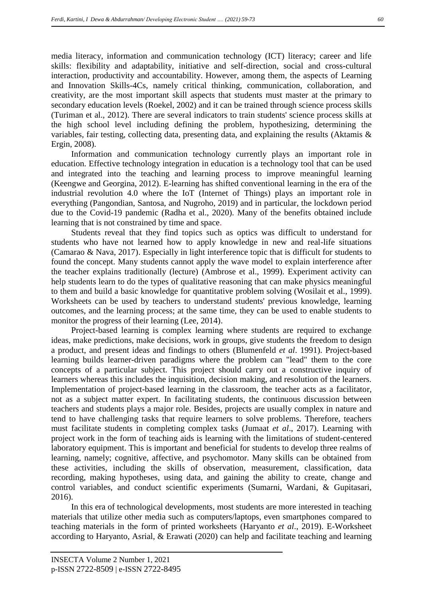media literacy, information and communication technology (ICT) literacy; career and life skills: flexibility and adaptability, initiative and self-direction, social and cross-cultural interaction, productivity and accountability. However, among them, the aspects of Learning and Innovation Skills-4Cs, namely critical thinking, communication, collaboration, and creativity, are the most important skill aspects that students must master at the primary to secondary education levels (Roekel, 2002) and it can be trained through science process skills (Turiman et al., 2012). There are several indicators to train students' science process skills at the high school level including defining the problem, hypothesizing, determining the variables, fair testing, collecting data, presenting data, and explaining the results (Aktamis & Ergin, 2008).

Information and communication technology currently plays an important role in education. Effective technology integration in education is a technology tool that can be used and integrated into the teaching and learning process to improve meaningful learning (Keengwe and Georgina, 2012). E-learning has shifted conventional learning in the era of the industrial revolution 4.0 where the IoT (Internet of Things) plays an important role in everything (Pangondian, Santosa, and Nugroho, 2019) and in particular, the lockdown period due to the Covid-19 pandemic (Radha et al., 2020). Many of the benefits obtained include learning that is not constrained by time and space.

Students reveal that they find topics such as optics was difficult to understand for students who have not learned how to apply knowledge in new and real-life situations (Camarao & Nava, 2017). Especially in light interference topic that is difficult for students to found the concept. Many students cannot apply the wave model to explain interference after the teacher explains traditionally (lecture) (Ambrose et al., 1999). Experiment activity can help students learn to do the types of qualitative reasoning that can make physics meaningful to them and build a basic knowledge for quantitative problem solving (Wosilait et al., 1999). Worksheets can be used by teachers to understand students' previous knowledge, learning outcomes, and the learning process; at the same time, they can be used to enable students to monitor the progress of their learning (Lee, 2014).

Project-based learning is complex learning where students are required to exchange ideas, make predictions, make decisions, work in groups, give students the freedom to design a product, and present ideas and findings to others (Blumenfeld *et al*. 1991). Project-based learning builds learner-driven paradigms where the problem can "lead" them to the core concepts of a particular subject. This project should carry out a constructive inquiry of learners whereas this includes the inquisition, decision making, and resolution of the learners. Implementation of project-based learning in the classroom, the teacher acts as a facilitator, not as a subject matter expert. In facilitating students, the continuous discussion between teachers and students plays a major role. Besides, projects are usually complex in nature and tend to have challenging tasks that require learners to solve problems. Therefore, teachers must facilitate students in completing complex tasks (Jumaat *et al*., 2017). Learning with project work in the form of teaching aids is learning with the limitations of student-centered laboratory equipment. This is important and beneficial for students to develop three realms of learning, namely; cognitive, affective, and psychomotor. Many skills can be obtained from these activities, including the skills of observation, measurement, classification, data recording, making hypotheses, using data, and gaining the ability to create, change and control variables, and conduct scientific experiments (Sumarni, Wardani, & Gupitasari, 2016).

In this era of technological developments, most students are more interested in teaching materials that utilize other media such as computers/laptops, even smartphones compared to teaching materials in the form of printed worksheets (Haryanto *et al*., 2019). E-Worksheet according to Haryanto, Asrial, & Erawati (2020) can help and facilitate teaching and learning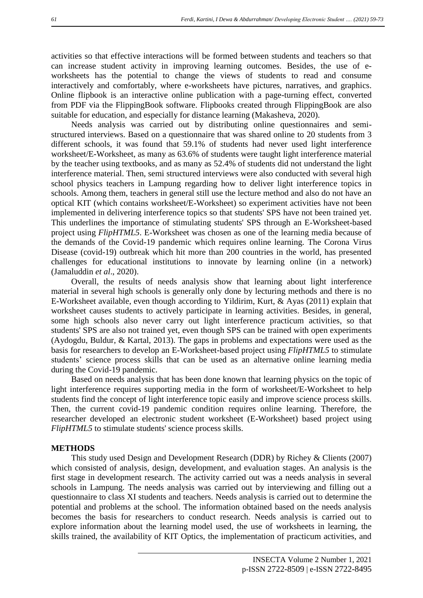activities so that effective interactions will be formed between students and teachers so that can increase student activity in improving learning outcomes. Besides, the use of eworksheets has the potential to change the views of students to read and consume interactively and comfortably, where e-worksheets have pictures, narratives, and graphics. Online flipbook is an interactive online publication with a page-turning effect, converted from PDF via the FlippingBook software. Flipbooks created through FlippingBook are also suitable for education, and especially for distance learning (Makasheva, 2020).

Needs analysis was carried out by distributing online questionnaires and semistructured interviews. Based on a questionnaire that was shared online to 20 students from 3 different schools, it was found that 59.1% of students had never used light interference worksheet/E-Worksheet, as many as 63.6% of students were taught light interference material by the teacher using textbooks, and as many as 52.4% of students did not understand the light interference material. Then, semi structured interviews were also conducted with several high school physics teachers in Lampung regarding how to deliver light interference topics in schools. Among them, teachers in general still use the lecture method and also do not have an optical KIT (which contains worksheet/E-Worksheet) so experiment activities have not been implemented in delivering interference topics so that students' SPS have not been trained yet. This underlines the importance of stimulating students' SPS through an E-Worksheet-based project using *FlipHTML5*. E-Worksheet was chosen as one of the learning media because of the demands of the Covid-19 pandemic which requires online learning. The Corona Virus Disease (covid-19) outbreak which hit more than 200 countries in the world, has presented challenges for educational institutions to innovate by learning online (in a network) (Jamaluddin *et al*., 2020).

Overall, the results of needs analysis show that learning about light interference material in several high schools is generally only done by lecturing methods and there is no E-Worksheet available, even though according to Yildirim, Kurt, & Ayas (2011) explain that worksheet causes students to actively participate in learning activities. Besides, in general, some high schools also never carry out light interference practicum activities, so that students' SPS are also not trained yet, even though SPS can be trained with open experiments (Aydogdu, Buldur, & Kartal, 2013). The gaps in problems and expectations were used as the basis for researchers to develop an E-Worksheet-based project using *FlipHTML5* to stimulate students' science process skills that can be used as an alternative online learning media during the Covid-19 pandemic.

Based on needs analysis that has been done known that learning physics on the topic of light interference requires supporting media in the form of worksheet/E-Worksheet to help students find the concept of light interference topic easily and improve science process skills. Then, the current covid-19 pandemic condition requires online learning. Therefore, the researcher developed an electronic student worksheet (E-Worksheet) based project using *FlipHTML5* to stimulate students' science process skills.

#### **METHODS**

This study used Design and Development Research (DDR) by Richey & Clients (2007) which consisted of analysis, design, development, and evaluation stages. An analysis is the first stage in development research. The activity carried out was a needs analysis in several schools in Lampung. The needs analysis was carried out by interviewing and filling out a questionnaire to class XI students and teachers. Needs analysis is carried out to determine the potential and problems at the school. The information obtained based on the needs analysis becomes the basis for researchers to conduct research. Needs analysis is carried out to explore information about the learning model used, the use of worksheets in learning, the skills trained, the availability of KIT Optics, the implementation of practicum activities, and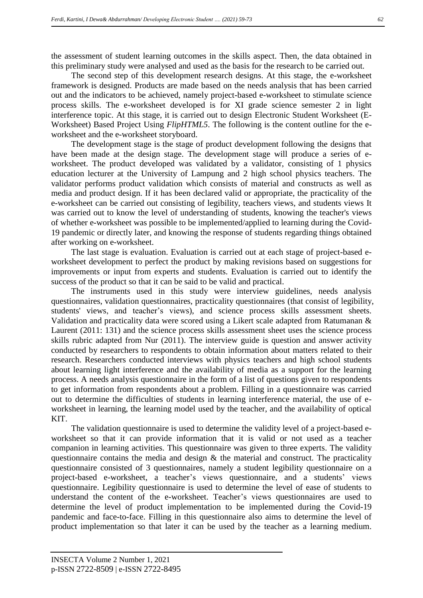the assessment of student learning outcomes in the skills aspect. Then, the data obtained in this preliminary study were analysed and used as the basis for the research to be carried out.

The second step of this development research designs. At this stage, the e-worksheet framework is designed. Products are made based on the needs analysis that has been carried out and the indicators to be achieved, namely project-based e-worksheet to stimulate science process skills. The e-worksheet developed is for XI grade science semester 2 in light interference topic. At this stage, it is carried out to design Electronic Student Worksheet (E-Worksheet) Based Project Using *FlipHTML5*. The following is the content outline for the eworksheet and the e-worksheet storyboard.

The development stage is the stage of product development following the designs that have been made at the design stage. The development stage will produce a series of eworksheet. The product developed was validated by a validator, consisting of 1 physics education lecturer at the University of Lampung and 2 high school physics teachers. The validator performs product validation which consists of material and constructs as well as media and product design. If it has been declared valid or appropriate, the practicality of the e-worksheet can be carried out consisting of legibility, teachers views, and students views It was carried out to know the level of understanding of students, knowing the teacher's views of whether e-worksheet was possible to be implemented/applied to learning during the Covid-19 pandemic or directly later, and knowing the response of students regarding things obtained after working on e-worksheet.

The last stage is evaluation. Evaluation is carried out at each stage of project-based eworksheet development to perfect the product by making revisions based on suggestions for improvements or input from experts and students. Evaluation is carried out to identify the success of the product so that it can be said to be valid and practical.

The instruments used in this study were interview guidelines, needs analysis questionnaires, validation questionnaires, practicality questionnaires (that consist of legibility, students' views, and teacher's views), and science process skills assessment sheets. Validation and practicality data were scored using a Likert scale adapted from Ratumanan & Laurent (2011: 131) and the science process skills assessment sheet uses the science process skills rubric adapted from Nur (2011). The interview guide is question and answer activity conducted by researchers to respondents to obtain information about matters related to their research. Researchers conducted interviews with physics teachers and high school students about learning light interference and the availability of media as a support for the learning process. A needs analysis questionnaire in the form of a list of questions given to respondents to get information from respondents about a problem. Filling in a questionnaire was carried out to determine the difficulties of students in learning interference material, the use of eworksheet in learning, the learning model used by the teacher, and the availability of optical KIT.

The validation questionnaire is used to determine the validity level of a project-based eworksheet so that it can provide information that it is valid or not used as a teacher companion in learning activities. This questionnaire was given to three experts. The validity questionnaire contains the media and design & the material and construct. The practicality questionnaire consisted of 3 questionnaires, namely a student legibility questionnaire on a project-based e-worksheet, a teacher's views questionnaire, and a students' views questionnaire. Legibility questionnaire is used to determine the level of ease of students to understand the content of the e-worksheet. Teacher's views questionnaires are used to determine the level of product implementation to be implemented during the Covid-19 pandemic and face-to-face. Filling in this questionnaire also aims to determine the level of product implementation so that later it can be used by the teacher as a learning medium.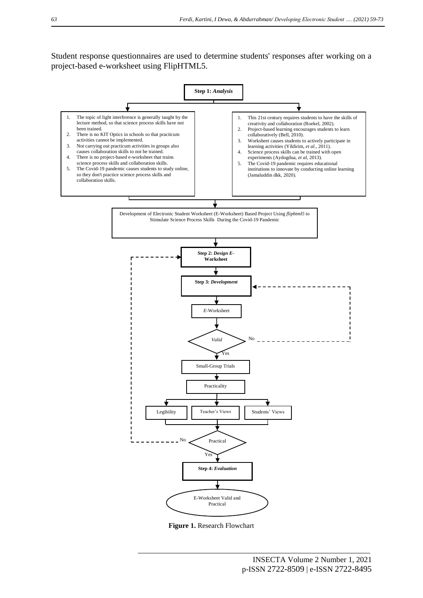Student response questionnaires are used to determine students' responses after working on a project-based e-worksheet using FlipHTML5.



**Figure 1.** Research Flowchart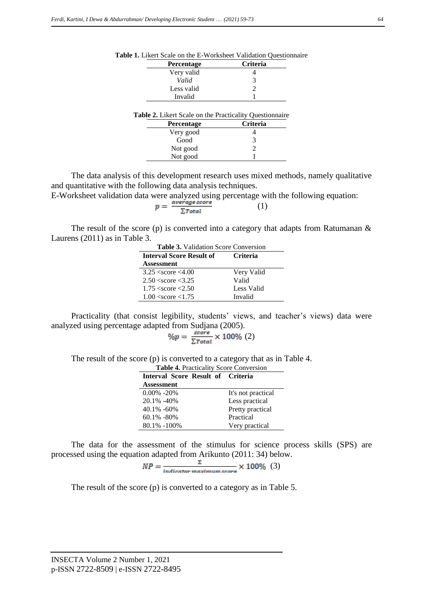| <b>Percentage</b>                                              | <b>Criteria</b> |
|----------------------------------------------------------------|-----------------|
| Very valid                                                     |                 |
| Valid                                                          | 3               |
| Less valid                                                     | 2               |
| Invalid                                                        |                 |
| <b>Table 2.</b> Likert Scale on the Practicality Questionnaire |                 |
| <b>Percentage</b>                                              | Criteria        |
|                                                                |                 |
| Very good                                                      |                 |
| Good                                                           | 3               |

|--|

The data analysis of this development research uses mixed methods, namely qualitative and quantitative with the following data analysis techniques.

(1)

Not good 1

E-Worksheet validation data were analyzed using percentage with the following equation:

$$
p = \frac{\text{average score}}{\sum_{\text{Total}}}
$$

The result of the score (p) is converted into a category that adapts from Ratumanan  $\&$ Laurens (2011) as in Table 3.

| <b>Table 3.</b> Validation Score Conversion |                 |  |  |
|---------------------------------------------|-----------------|--|--|
| <b>Interval Score Result of</b>             | <b>Criteria</b> |  |  |
| Assessment                                  |                 |  |  |
| $3.25 \le$ score $\le 4.00$                 | Very Valid      |  |  |
| $2.50 \le$ score $\le$ 3.25                 | Valid           |  |  |
| $1.75 \le$ score $\le$ 2.50                 | Less Valid      |  |  |
| $1.00 \le$ score $\le 1.75$                 | Invalid         |  |  |

Practicality (that consist legibility, students' views, and teacher's views) data were analyzed using percentage adapted from Sudjana (2005).

$$
\%p = \frac{\text{score}}{\Sigma \text{Total}} \times 100\% \ (2)
$$

The result of the score (p) is converted to a category that as in Table 4.

| <b>Table 4. Practicality Score Conversion</b> |                    |  |  |  |
|-----------------------------------------------|--------------------|--|--|--|
| Interval Score Result of Criteria             |                    |  |  |  |
| <b>Assessment</b>                             |                    |  |  |  |
| $0.00\% - 20\%$                               | It's not practical |  |  |  |
| 20.1% -40%                                    | Less practical     |  |  |  |
| $40.1\% - 60\%$                               | Pretty practical   |  |  |  |
| $60.1\% - 80\%$                               | Practical          |  |  |  |
| 80.1% -100%                                   | Very practical     |  |  |  |

The data for the assessment of the stimulus for science process skills (SPS) are processed using the equation adapted from Arikunto (2011: 34) below.

$$
NP = \frac{2}{\text{indicate maximum score}} \times 100\% \tag{3}
$$

The result of the score (p) is converted to a category as in Table 5.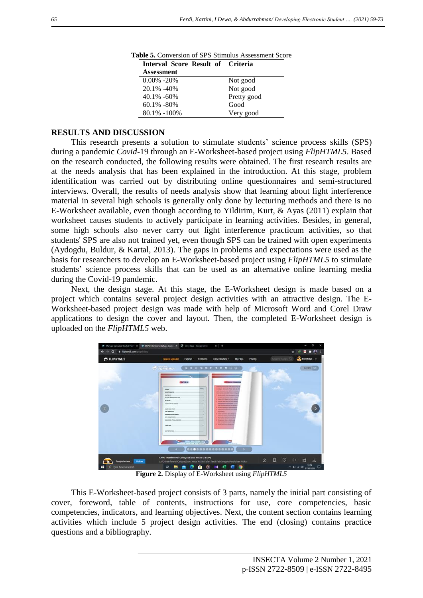| Interval Score Result of Criteria |             |
|-----------------------------------|-------------|
| <b>Assessment</b>                 |             |
| $0.00\% - 20\%$                   | Not good    |
| 20.1% -40%                        | Not good    |
| $40.1\% - 60\%$                   | Pretty good |
| $60.1\% - 80\%$                   | Good        |
| $80.1\% - 100\%$                  | Very good   |

**Table 5.** Conversion of SPS Stimulus Assessment Score

# **RESULTS AND DISCUSSION**

This research presents a solution to stimulate students' science process skills (SPS) during a pandemic *Covid-*19 through an E-Worksheet-based project using *FlipHTML5*. Based on the research conducted, the following results were obtained. The first research results are at the needs analysis that has been explained in the introduction. At this stage, problem identification was carried out by distributing online questionnaires and semi-structured interviews. Overall, the results of needs analysis show that learning about light interference material in several high schools is generally only done by lecturing methods and there is no E-Worksheet available, even though according to Yildirim, Kurt, & Ayas (2011) explain that worksheet causes students to actively participate in learning activities. Besides, in general, some high schools also never carry out light interference practicum activities, so that students' SPS are also not trained yet, even though SPS can be trained with open experiments (Aydogdu, Buldur, & Kartal, 2013). The gaps in problems and expectations were used as the basis for researchers to develop an E-Worksheet-based project using *FlipHTML5* to stimulate students' science process skills that can be used as an alternative online learning media during the Covid-19 pandemic.

Next, the design stage. At this stage, the E-Worksheet design is made based on a project which contains several project design activities with an attractive design. The E-Worksheet-based project design was made with help of Microsoft Word and Corel Draw applications to design the cover and layout. Then, the completed E-Worksheet design is uploaded on the *FlipHTML5* web.



**Figure 2.** Display of E-Worksheet using *FlipHTML5*

This E-Worksheet-based project consists of 3 parts, namely the initial part consisting of cover, foreword, table of contents, instructions for use, core competencies, basic competencies, indicators, and learning objectives. Next, the content section contains learning activities which include 5 project design activities. The end (closing) contains practice questions and a bibliography.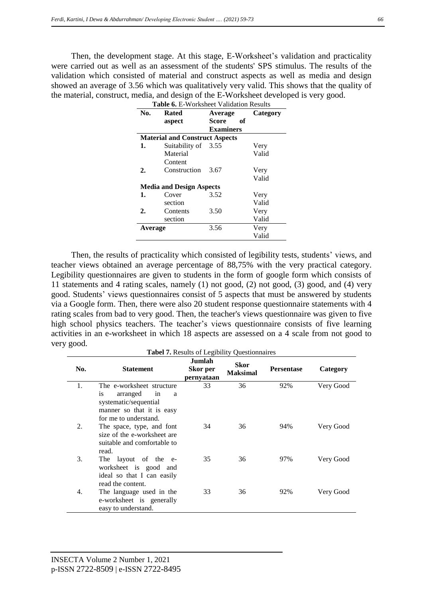Then, the development stage. At this stage, E-Worksheet's validation and practicality were carried out as well as an assessment of the students' SPS stimulus. The results of the validation which consisted of material and construct aspects as well as media and design showed an average of 3.56 which was qualitatively very valid. This shows that the quality of the material, construct, media, and design of the E-Worksheet developed is very good. rable 6. E-Worksheet Validation **R** 

| No.     | Rated                                 | Average          | Category |
|---------|---------------------------------------|------------------|----------|
|         | aspect                                | Score<br>оf      |          |
|         |                                       | <b>Examiners</b> |          |
|         | <b>Material and Construct Aspects</b> |                  |          |
| 1.      | Suitability of 3.55                   |                  | Very     |
|         | Material                              |                  | Valid    |
|         | Content                               |                  |          |
| 2.      | Construction                          | 3.67             | Very     |
|         |                                       |                  | Valid    |
|         | <b>Media and Design Aspects</b>       |                  |          |
| 1.      | Cover                                 | 3.52             | Very     |
|         | section                               |                  | Valid    |
| 2.      | Contents                              | 3.50             | Very     |
|         | section                               |                  | Valid    |
| Average |                                       | 3.56             | Very     |
|         |                                       |                  | Valid    |

Then, the results of practicality which consisted of legibility tests, students' views, and teacher views obtained an average percentage of 88,75% with the very practical category. Legibility questionnaires are given to students in the form of google form which consists of 11 statements and 4 rating scales, namely (1) not good, (2) not good, (3) good, and (4) very good. Students' views questionnaires consist of 5 aspects that must be answered by students via a Google form. Then, there were also 20 student response questionnaire statements with 4 rating scales from bad to very good. Then, the teacher's views questionnaire was given to five high school physics teachers. The teacher's views questionnaire consists of five learning activities in an e-worksheet in which 18 aspects are assessed on a 4 scale from not good to very good.

| <b>Tabel 7.</b> Results of Legibility Questionnaires |                                                                                                                                       |                                  |                                |                   |           |
|------------------------------------------------------|---------------------------------------------------------------------------------------------------------------------------------------|----------------------------------|--------------------------------|-------------------|-----------|
| No.                                                  | <b>Statement</b>                                                                                                                      | Jumlah<br>Skor per<br>pernyataan | <b>Skor</b><br><b>Maksimal</b> | <b>Persentase</b> | Category  |
| 1.                                                   | The e-worksheet structure<br>arranged<br>is<br>in<br>a<br>systematic/sequential<br>manner so that it is easy<br>for me to understand. | 33                               | 36                             | 92%               | Very Good |
| 2.                                                   | The space, type, and font<br>size of the e-worksheet are<br>suitable and comfortable to<br>read.                                      | 34                               | 36                             | 94%               | Very Good |
| 3.                                                   | The layout of the e-<br>worksheet is good and<br>ideal so that I can easily<br>read the content.                                      | 35                               | 36                             | 97%               | Very Good |
| 4.                                                   | The language used in the<br>e-worksheet is generally<br>easy to understand.                                                           | 33                               | 36                             | 92%               | Very Good |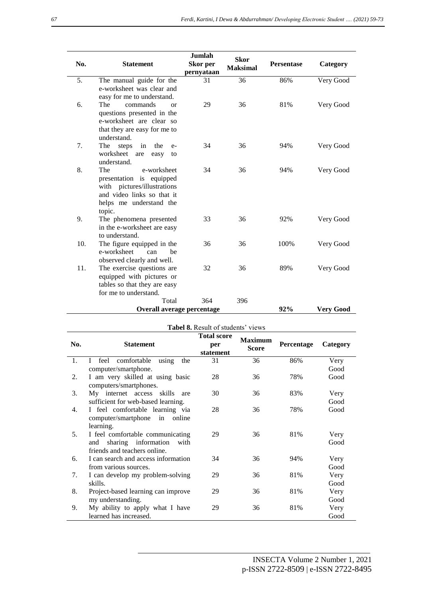| No. | <b>Statement</b>                                       | <b>Jumlah</b><br>Skor per<br>pernyataan | <b>Skor</b><br><b>Maksimal</b> | Persentase | Category         |
|-----|--------------------------------------------------------|-----------------------------------------|--------------------------------|------------|------------------|
| 5.  | The manual guide for the                               | 31                                      | 36                             | 86%        | Very Good        |
|     | e-worksheet was clear and                              |                                         |                                |            |                  |
|     | easy for me to understand.                             |                                         |                                |            |                  |
| 6.  | The<br>commands<br>$\alpha$                            | 29                                      | 36                             | 81%        | Very Good        |
|     | questions presented in the<br>e-worksheet are clear so |                                         |                                |            |                  |
|     | that they are easy for me to                           |                                         |                                |            |                  |
|     | understand.                                            |                                         |                                |            |                  |
| 7.  | The<br>steps<br>in<br>the<br>$e-$                      | 34                                      | 36                             | 94%        | Very Good        |
|     | worksheet<br>are<br>easy<br>to                         |                                         |                                |            |                  |
|     | understand.                                            |                                         |                                |            |                  |
| 8.  | The<br>e-worksheet                                     | 34                                      | 36                             | 94%        | Very Good        |
|     | presentation is equipped                               |                                         |                                |            |                  |
|     | with pictures/illustrations                            |                                         |                                |            |                  |
|     | and video links so that it                             |                                         |                                |            |                  |
|     | helps me understand the                                |                                         |                                |            |                  |
| 9.  | topic.<br>The phenomena presented                      | 33                                      | 36                             | 92%        | Very Good        |
|     | in the e-worksheet are easy                            |                                         |                                |            |                  |
|     | to understand.                                         |                                         |                                |            |                  |
| 10. | The figure equipped in the                             | 36                                      | 36                             | 100%       | Very Good        |
|     | e-worksheet<br>can<br>he                               |                                         |                                |            |                  |
|     | observed clearly and well.                             |                                         |                                |            |                  |
| 11. | The exercise questions are                             | 32                                      | 36                             | 89%        | Very Good        |
|     | equipped with pictures or                              |                                         |                                |            |                  |
|     | tables so that they are easy                           |                                         |                                |            |                  |
|     | for me to understand.                                  |                                         |                                |            |                  |
|     | Total                                                  | 364                                     | 396                            |            |                  |
|     | Overall average percentage                             |                                         |                                | 92%        | <b>Very Good</b> |

|     | <b>Tabel 8.</b> Result of students' views           |                                        |                                |            |          |  |
|-----|-----------------------------------------------------|----------------------------------------|--------------------------------|------------|----------|--|
| No. | <b>Statement</b>                                    | <b>Total score</b><br>per<br>statement | <b>Maximum</b><br><b>Score</b> | Percentage | Category |  |
| 1.  | feel<br>comfortable<br>$\mathbf{I}$<br>using<br>the | 31                                     | 36                             | 86%        | Very     |  |
|     | computer/smartphone.                                |                                        |                                |            | Good     |  |
| 2.  | I am very skilled at using basic                    | 28                                     | 36                             | 78%        | Good     |  |
|     | computers/smartphones.                              |                                        |                                |            |          |  |
| 3.  | My internet access skills<br>are                    | 30                                     | 36                             | 83%        | Very     |  |
|     | sufficient for web-based learning.                  |                                        |                                |            | Good     |  |
| 4.  | I feel comfortable learning via                     | 28                                     | 36                             | 78%        | Good     |  |
|     | computer/smartphone in<br>online                    |                                        |                                |            |          |  |
|     | learning.                                           |                                        |                                |            |          |  |
| 5.  | I feel comfortable communicating                    | 29                                     | 36                             | 81%        | Very     |  |
|     | sharing information<br>and<br>with                  |                                        |                                |            | Good     |  |
|     | friends and teachers online.                        |                                        |                                |            |          |  |
| 6.  | I can search and access information                 | 34                                     | 36                             | 94%        | Very     |  |
|     | from various sources.                               |                                        |                                |            | Good     |  |
| 7.  | I can develop my problem-solving                    | 29                                     | 36                             | 81%        | Very     |  |
|     | skills.                                             |                                        |                                |            | Good     |  |
| 8.  | Project-based learning can improve                  | 29                                     | 36                             | 81%        | Very     |  |
|     | my understanding.                                   |                                        |                                |            | Good     |  |
| 9.  | My ability to apply what I have                     | 29                                     | 36                             | 81%        | Very     |  |
|     | learned has increased.                              |                                        |                                |            | Good     |  |

 $\overline{\phantom{a}}$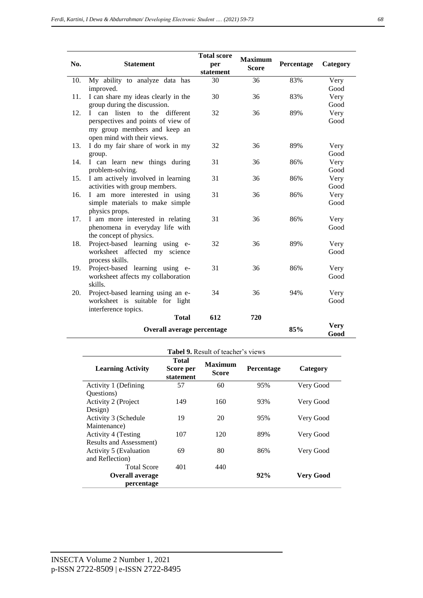| No. | <b>Statement</b>                                                                                  | <b>Total score</b><br>per<br>statement | <b>Maximum</b><br><b>Score</b> | Percentage | Category     |
|-----|---------------------------------------------------------------------------------------------------|----------------------------------------|--------------------------------|------------|--------------|
| 10. | My ability to analyze data has                                                                    | 30                                     | 36                             | 83%        | Very         |
|     | improved.                                                                                         |                                        |                                |            | Good         |
| 11. | I can share my ideas clearly in the                                                               | 30                                     | 36                             | 83%        | Very         |
|     | group during the discussion.                                                                      |                                        |                                |            | Good         |
| 12. | I can listen to the different                                                                     | 32                                     | 36                             | 89%        | Very         |
|     | perspectives and points of view of<br>my group members and keep an<br>open mind with their views. |                                        |                                |            | Good         |
| 13. | I do my fair share of work in my                                                                  | 32                                     | 36                             | 89%        | Very         |
|     | group.                                                                                            |                                        |                                |            | Good         |
| 14. | I can learn new things during                                                                     | 31                                     | 36                             | 86%        | Very         |
|     | problem-solving.                                                                                  |                                        |                                |            | Good         |
| 15. | I am actively involved in learning                                                                | 31                                     | 36                             | 86%        | Very         |
| 16. | activities with group members.                                                                    | 31                                     | 36                             | 86%        | Good         |
|     | I am more interested in using<br>simple materials to make simple                                  |                                        |                                |            | Very<br>Good |
|     | physics props.                                                                                    |                                        |                                |            |              |
| 17. | I am more interested in relating                                                                  | 31                                     | 36                             | 86%        | Very         |
|     | phenomena in everyday life with                                                                   |                                        |                                |            | Good         |
|     | the concept of physics.                                                                           | 32                                     | 36                             | 89%        |              |
| 18. | Project-based learning using e-<br>worksheet affected my science                                  |                                        |                                |            | Very<br>Good |
|     | process skills.                                                                                   |                                        |                                |            |              |
| 19. | Project-based learning using e-                                                                   | 31                                     | 36                             | 86%        | Very         |
|     | worksheet affects my collaboration                                                                |                                        |                                |            | Good         |
|     | skills.                                                                                           |                                        |                                |            |              |
| 20. | Project-based learning using an e-                                                                | 34                                     | 36                             | 94%        | Very         |
|     | worksheet is suitable for light                                                                   |                                        |                                |            | Good         |
|     | interference topics.                                                                              |                                        |                                |            |              |
|     | <b>Total</b>                                                                                      | 612                                    | 720                            |            |              |
|     | Overall average percentage                                                                        | 85%                                    | <b>Very</b><br>Good            |            |              |

|                          |                                 | <b>Tabel 9.</b> Result of teacher's views |            |           |
|--------------------------|---------------------------------|-------------------------------------------|------------|-----------|
| <b>Learning Activity</b> | Total<br>Score per<br>statement | <b>Maximum</b><br><b>Score</b>            | Percentage | Category  |
| Activity 1 (Defining     | 57                              | 60                                        | 95%        | Very Good |
| Questions)               |                                 |                                           |            |           |
| Activity 2 (Project      | 149                             | 160                                       | 93%        | Very Good |
| Design)                  |                                 |                                           |            |           |
| Activity 3 (Schedule     | 19                              | 20                                        | 95%        | Very Good |
| Maintenance)             |                                 |                                           |            |           |
| Activity 4 (Testing      | 107                             | 120                                       | 89%        | Very Good |
| Results and Assessment)  |                                 |                                           |            |           |
| Activity 5 (Evaluation   | 69                              | 80                                        | 86%        | Very Good |
| and Reflection)          |                                 |                                           |            |           |
| <b>Total Score</b>       | 401                             | 440                                       |            |           |
| <b>Overall average</b>   |                                 |                                           | 92%        | Very Good |
| percentage               |                                 |                                           |            |           |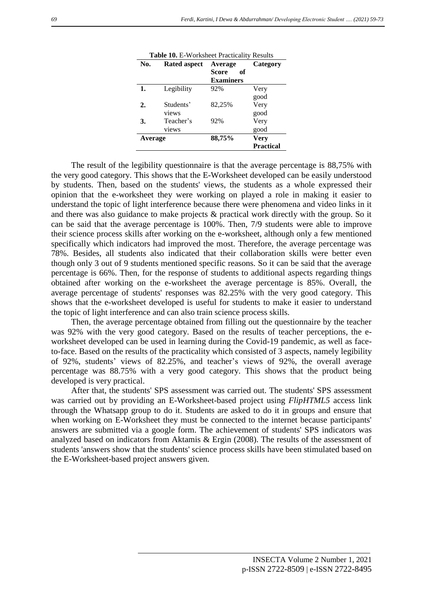|     | <b>Table 10.</b> E-Worksheet Practicality Results |                  |                  |  |  |
|-----|---------------------------------------------------|------------------|------------------|--|--|
| No. | <b>Rated aspect</b>                               | Average          | Category         |  |  |
|     |                                                   | Score<br>оf      |                  |  |  |
|     |                                                   | <b>Examiners</b> |                  |  |  |
| 1.  | Legibility                                        | 92%              | Very             |  |  |
|     |                                                   |                  | good             |  |  |
| 2.  | Students'                                         | 82,25%           | Very             |  |  |
|     | views                                             |                  | good             |  |  |
| 3.  | Teacher's                                         | 92%              | Very             |  |  |
|     | views                                             |                  | good             |  |  |
|     | 88,75%<br><b>Very</b><br>Average                  |                  |                  |  |  |
|     |                                                   |                  | <b>Practical</b> |  |  |

The result of the legibility questionnaire is that the average percentage is 88,75% with the very good category. This shows that the E-Worksheet developed can be easily understood by students. Then, based on the students' views, the students as a whole expressed their opinion that the e-worksheet they were working on played a role in making it easier to understand the topic of light interference because there were phenomena and video links in it and there was also guidance to make projects & practical work directly with the group. So it can be said that the average percentage is 100%. Then, 7/9 students were able to improve their science process skills after working on the e-worksheet, although only a few mentioned specifically which indicators had improved the most. Therefore, the average percentage was 78%. Besides, all students also indicated that their collaboration skills were better even though only 3 out of 9 students mentioned specific reasons. So it can be said that the average percentage is 66%. Then, for the response of students to additional aspects regarding things obtained after working on the e-worksheet the average percentage is 85%. Overall, the average percentage of students' responses was 82.25% with the very good category. This shows that the e-worksheet developed is useful for students to make it easier to understand the topic of light interference and can also train science process skills.

Then, the average percentage obtained from filling out the questionnaire by the teacher was 92% with the very good category. Based on the results of teacher perceptions, the eworksheet developed can be used in learning during the Covid-19 pandemic, as well as faceto-face. Based on the results of the practicality which consisted of 3 aspects, namely legibility of 92%, students' views of 82.25%, and teacher's views of 92%, the overall average percentage was 88.75% with a very good category. This shows that the product being developed is very practical.

After that, the students' SPS assessment was carried out. The students' SPS assessment was carried out by providing an E-Worksheet-based project using *FlipHTML5* access link through the Whatsapp group to do it. Students are asked to do it in groups and ensure that when working on E-Worksheet they must be connected to the internet because participants' answers are submitted via a google form. The achievement of students' SPS indicators was analyzed based on indicators from Aktamis & Ergin (2008). The results of the assessment of students 'answers show that the students' science process skills have been stimulated based on the E-Worksheet-based project answers given.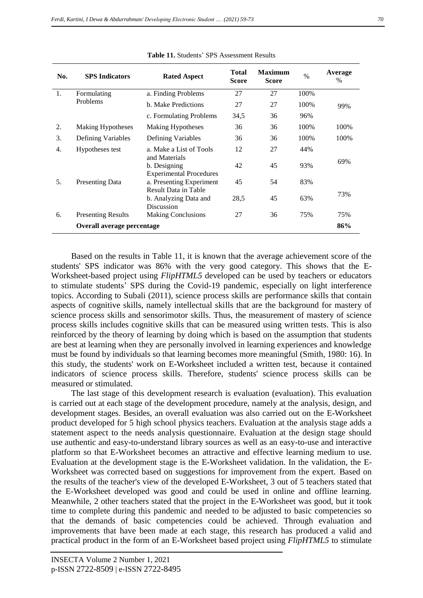| No. | <b>SPS</b> Indicators      | <b>Rated Aspect</b>                                             | <b>Total</b><br><b>Score</b> | <b>Maximum</b><br><b>Score</b> | $\frac{0}{0}$ | Average<br>$\%$ |
|-----|----------------------------|-----------------------------------------------------------------|------------------------------|--------------------------------|---------------|-----------------|
| 1.  | Formulating<br>Problems    | a. Finding Problems                                             | 27                           | 27                             | 100%          | 99%             |
|     |                            | <b>b.</b> Make Predictions                                      | 27                           | 27                             | 100%          |                 |
|     |                            | c. Formulating Problems                                         | 34,5                         | 36                             | 96%           |                 |
| 2.  | <b>Making Hypotheses</b>   | <b>Making Hypotheses</b>                                        | 36                           | 36                             | 100%          | 100%            |
| 3.  | Defining Variables         | Defining Variables                                              | 36                           | 36                             | 100%          | 100%            |
| 4.  | Hypotheses test            | a. Make a List of Tools                                         | 12                           | 27                             | 44%           |                 |
|     |                            | and Materials<br>b. Designing<br><b>Experimental Procedures</b> | 42                           | 45                             | 93%           | 69%             |
| 5.  | <b>Presenting Data</b>     | a. Presenting Experiment                                        | 45                           | 54                             | 83%           |                 |
|     |                            | Result Data in Table<br>b. Analyzing Data and<br>Discussion     | 28,5                         | 45                             | 63%           | 73%             |
| 6.  | <b>Presenting Results</b>  | <b>Making Conclusions</b>                                       | 27                           | 36                             | 75%           | 75%             |
|     | Overall average percentage |                                                                 |                              |                                |               | 86%             |

**Table 11.** Students' SPS Assessment Results

Based on the results in Table 11, it is known that the average achievement score of the students' SPS indicator was 86% with the very good category. This shows that the E-Worksheet-based project using *FlipHTML5* developed can be used by teachers or educators to stimulate students' SPS during the Covid-19 pandemic, especially on light interference topics. According to Subali (2011), science process skills are performance skills that contain aspects of cognitive skills, namely intellectual skills that are the background for mastery of science process skills and sensorimotor skills. Thus, the measurement of mastery of science process skills includes cognitive skills that can be measured using written tests. This is also reinforced by the theory of learning by doing which is based on the assumption that students are best at learning when they are personally involved in learning experiences and knowledge must be found by individuals so that learning becomes more meaningful (Smith, 1980: 16). In this study, the students' work on E-Worksheet included a written test, because it contained indicators of science process skills. Therefore, students' science process skills can be measured or stimulated.

The last stage of this development research is evaluation (evaluation). This evaluation is carried out at each stage of the development procedure, namely at the analysis, design, and development stages. Besides, an overall evaluation was also carried out on the E-Worksheet product developed for 5 high school physics teachers. Evaluation at the analysis stage adds a statement aspect to the needs analysis questionnaire. Evaluation at the design stage should use authentic and easy-to-understand library sources as well as an easy-to-use and interactive platform so that E-Worksheet becomes an attractive and effective learning medium to use. Evaluation at the development stage is the E-Worksheet validation. In the validation, the E-Worksheet was corrected based on suggestions for improvement from the expert. Based on the results of the teacher's view of the developed E-Worksheet, 3 out of 5 teachers stated that the E-Worksheet developed was good and could be used in online and offline learning. Meanwhile, 2 other teachers stated that the project in the E-Worksheet was good, but it took time to complete during this pandemic and needed to be adjusted to basic competencies so that the demands of basic competencies could be achieved. Through evaluation and improvements that have been made at each stage, this research has produced a valid and practical product in the form of an E-Worksheet based project using *FlipHTML5* to stimulate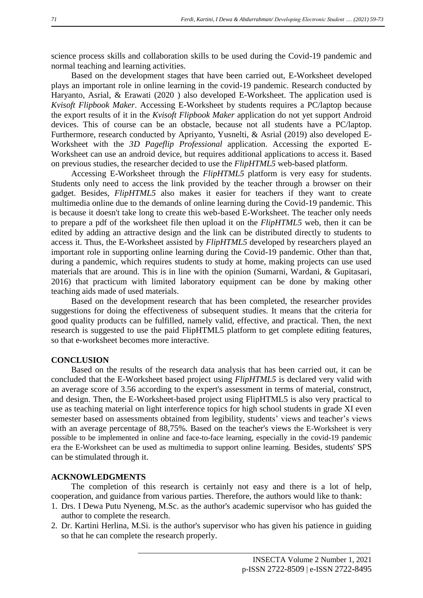science process skills and collaboration skills to be used during the Covid-19 pandemic and normal teaching and learning activities.

Based on the development stages that have been carried out, E-Worksheet developed plays an important role in online learning in the covid-19 pandemic. Research conducted by Haryanto, Asrial, & Erawati (2020 ) also developed E-Worksheet. The application used is *Kvisoft Flipbook Maker*. Accessing E-Worksheet by students requires a PC/laptop because the export results of it in the *Kvisoft Flipbook Maker* application do not yet support Android devices. This of course can be an obstacle, because not all students have a PC/laptop. Furthermore, research conducted by Apriyanto, Yusnelti, & Asrial (2019) also developed E-Worksheet with the *3D Pageflip Professional* application. Accessing the exported E-Worksheet can use an android device, but requires additional applications to access it. Based on previous studies, the researcher decided to use the *FlipHTML5* web-based platform.

Accessing E-Worksheet through the *FlipHTML5* platform is very easy for students. Students only need to access the link provided by the teacher through a browser on their gadget. Besides, *FlipHTML5* also makes it easier for teachers if they want to create multimedia online due to the demands of online learning during the Covid-19 pandemic. This is because it doesn't take long to create this web-based E-Worksheet. The teacher only needs to prepare a pdf of the worksheet file then upload it on the *FlipHTML5* web, then it can be edited by adding an attractive design and the link can be distributed directly to students to access it. Thus, the E-Worksheet assisted by *FlipHTML5* developed by researchers played an important role in supporting online learning during the Covid-19 pandemic. Other than that, during a pandemic, which requires students to study at home, making projects can use used materials that are around. This is in line with the opinion (Sumarni, Wardani, & Gupitasari, 2016) that practicum with limited laboratory equipment can be done by making other teaching aids made of used materials.

Based on the development research that has been completed, the researcher provides suggestions for doing the effectiveness of subsequent studies. It means that the criteria for good quality products can be fulfilled, namely valid, effective, and practical. Then, the next research is suggested to use the paid FlipHTML5 platform to get complete editing features, so that e-worksheet becomes more interactive.

#### **CONCLUSION**

Based on the results of the research data analysis that has been carried out, it can be concluded that the E-Worksheet based project using *FlipHTML5* is declared very valid with an average score of 3.56 according to the expert's assessment in terms of material, construct, and design. Then, the E-Worksheet-based project using FlipHTML5 is also very practical to use as teaching material on light interference topics for high school students in grade XI even semester based on assessments obtained from legibility, students' views and teacher's views with an average percentage of 88,75%. Based on the teacher's views the E-Worksheet is very possible to be implemented in online and face-to-face learning, especially in the covid-19 pandemic era the E-Worksheet can be used as multimedia to support online learning. Besides, students' SPS can be stimulated through it.

#### **ACKNOWLEDGMENTS**

The completion of this research is certainly not easy and there is a lot of help, cooperation, and guidance from various parties. Therefore, the authors would like to thank:

- 1. Drs. I Dewa Putu Nyeneng, M.Sc. as the author's academic supervisor who has guided the author to complete the research.
- 2. Dr. Kartini Herlina, M.Si. is the author's supervisor who has given his patience in guiding so that he can complete the research properly.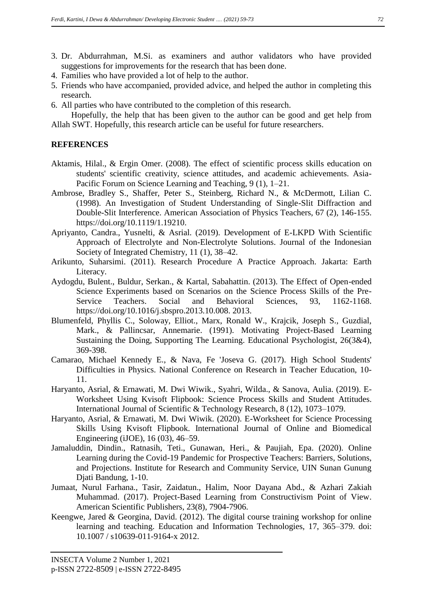- 3. Dr. Abdurrahman, M.Si. as examiners and author validators who have provided suggestions for improvements for the research that has been done.
- 4. Families who have provided a lot of help to the author.
- 5. Friends who have accompanied, provided advice, and helped the author in completing this research.
- 6. All parties who have contributed to the completion of this research.

Hopefully, the help that has been given to the author can be good and get help from Allah SWT. Hopefully, this research article can be useful for future researchers.

# **REFERENCES**

- Aktamis, Hilal., & Ergin Omer. (2008). The effect of scientific process skills education on students' scientific creativity, science attitudes, and academic achievements. Asia-Pacific Forum on Science Learning and Teaching, 9 (1), 1–21.
- Ambrose, Bradley S., Shaffer, Peter S., Steinberg, Richard N., & McDermott, Lilian C. (1998). An Investigation of Student Understanding of Single-Slit Diffraction and Double-Slit Interference. American Association of Physics Teachers, 67 (2), 146-155. https://doi.org/10.1119/1.19210.
- Apriyanto, Candra., Yusnelti, & Asrial. (2019). Development of E-LKPD With Scientific Approach of Electrolyte and Non-Electrolyte Solutions. Journal of the Indonesian Society of Integrated Chemistry, 11 (1), 38–42.
- Arikunto, Suharsimi. (2011). Research Procedure A Practice Approach. Jakarta: Earth Literacy.
- Aydogdu, Bulent., Buldur, Serkan., & Kartal, Sabahattin. (2013). The Effect of Open-ended Science Experiments based on Scenarios on the Science Process Skills of the Pre-Service Teachers. Social and Behavioral Sciences, 93, 1162-1168. https://doi.org/10.1016/j.sbspro.2013.10.008. 2013.
- Blumenfeld, Phyllis C., Soloway, Elliot., Marx, Ronald W., Krajcik, Joseph S., Guzdial, Mark., & Pallincsar, Annemarie. (1991). Motivating Project-Based Learning Sustaining the Doing, Supporting The Learning. Educational Psychologist, 26(3&4), 369-398.
- Camarao, Michael Kennedy E., & Nava, Fe 'Joseva G. (2017). High School Students' Difficulties in Physics. National Conference on Research in Teacher Education, 10- 11.
- Haryanto, Asrial, & Ernawati, M. Dwi Wiwik., Syahri, Wilda., & Sanova, Aulia. (2019). E-Worksheet Using Kvisoft Flipbook: Science Process Skills and Student Attitudes. International Journal of Scientific & Technology Research, 8 (12), 1073–1079.
- Haryanto, Asrial, & Ernawati, M. Dwi Wiwik. (2020). E-Worksheet for Science Processing Skills Using Kvisoft Flipbook. International Journal of Online and Biomedical Engineering (iJOE), 16 (03), 46–59.
- Jamaluddin, Dindin., Ratnasih, Teti., Gunawan, Heri., & Paujiah, Epa. (2020). Online Learning during the Covid-19 Pandemic for Prospective Teachers: Barriers, Solutions, and Projections. Institute for Research and Community Service, UIN Sunan Gunung Djati Bandung, 1-10.
- Jumaat, Nurul Farhana., Tasir, Zaidatun., Halim, Noor Dayana Abd., & Azhari Zakiah Muhammad. (2017). Project-Based Learning from Constructivism Point of View. American Scientific Publishers, 23(8), 7904-7906.
- Keengwe, Jared & Georgina, David. (2012). The digital course training workshop for online learning and teaching. Education and Information Technologies, 17, 365–379. doi: 10.1007 / s10639-011-9164-x 2012.